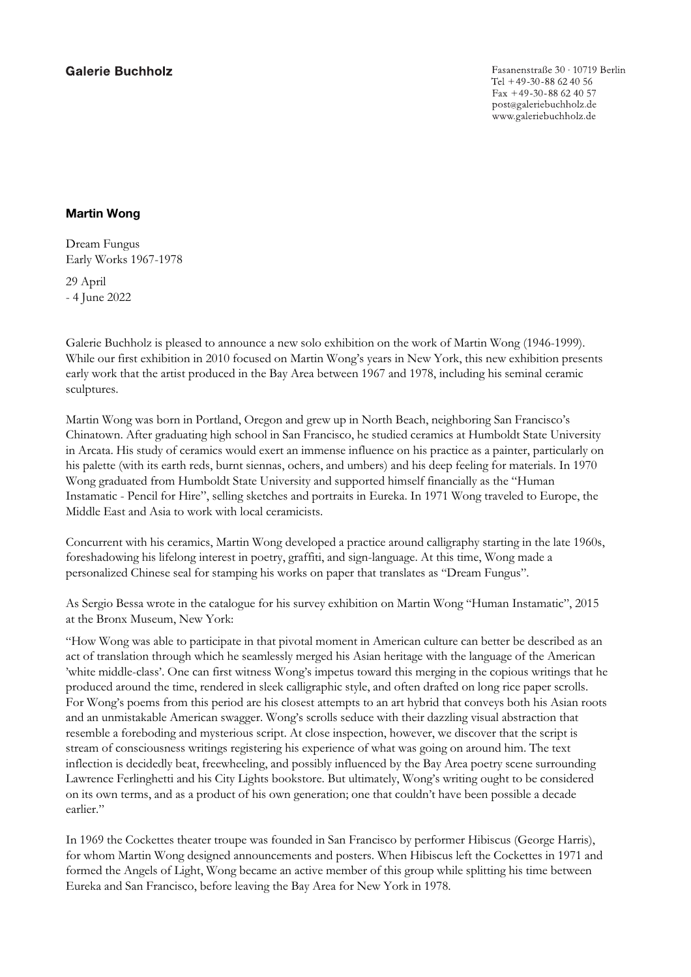**Galerie Buchholz** 

Fasanenstraße 30 · 10719 Berlin Tel +49-30-88 62 40 56 Fax +49-30-88 62 40 57 post@galeriebuchholz.de www.galeriebuchholz.de

## Martin Wong

Dream Fungus Early Works 1967-1978

29 April - 4 June 2022

Galerie Buchholz is pleased to announce a new solo exhibition on the work of Martin Wong (1946-1999). While our first exhibition in 2010 focused on Martin Wong's years in New York, this new exhibition presents early work that the artist produced in the Bay Area between 1967 and 1978, including his seminal ceramic sculptures.

Martin Wong was born in Portland, Oregon and grew up in North Beach, neighboring San Francisco's Chinatown. After graduating high school in San Francisco, he studied ceramics at Humboldt State University in Arcata. His study of ceramics would exert an immense influence on his practice as a painter, particularly on his palette (with its earth reds, burnt siennas, ochers, and umbers) and his deep feeling for materials. In 1970 Wong graduated from Humboldt State University and supported himself financially as the "Human Instamatic - Pencil for Hire", selling sketches and portraits in Eureka. In 1971 Wong traveled to Europe, the Middle East and Asia to work with local ceramicists.

Concurrent with his ceramics, Martin Wong developed a practice around calligraphy starting in the late 1960s, foreshadowing his lifelong interest in poetry, graffiti, and sign-language. At this time, Wong made a personalized Chinese seal for stamping his works on paper that translates as "Dream Fungus".

As Sergio Bessa wrote in the catalogue for his survey exhibition on Martin Wong "Human Instamatic", 2015 at the Bronx Museum, New York:

"How Wong was able to participate in that pivotal moment in American culture can better be described as an act of translation through which he seamlessly merged his Asian heritage with the language of the American 'white middle-class'. One can first witness Wong's impetus toward this merging in the copious writings that he produced around the time, rendered in sleek calligraphic style, and often drafted on long rice paper scrolls. For Wong's poems from this period are his closest attempts to an art hybrid that conveys both his Asian roots and an unmistakable American swagger. Wong's scrolls seduce with their dazzling visual abstraction that resemble a foreboding and mysterious script. At close inspection, however, we discover that the script is stream of consciousness writings registering his experience of what was going on around him. The text inflection is decidedly beat, freewheeling, and possibly influenced by the Bay Area poetry scene surrounding Lawrence Ferlinghetti and his City Lights bookstore. But ultimately, Wong's writing ought to be considered on its own terms, and as a product of his own generation; one that couldn't have been possible a decade earlier."

In 1969 the Cockettes theater troupe was founded in San Francisco by performer Hibiscus (George Harris), for whom Martin Wong designed announcements and posters. When Hibiscus left the Cockettes in 1971 and formed the Angels of Light, Wong became an active member of this group while splitting his time between Eureka and San Francisco, before leaving the Bay Area for New York in 1978.